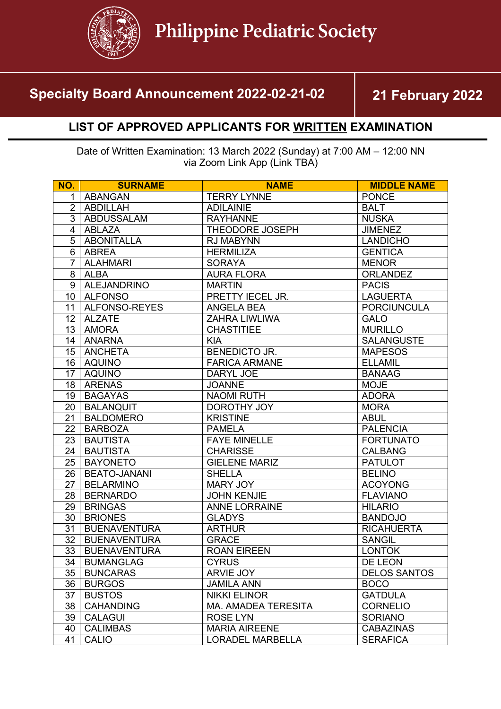

## **Specialty Board Announcement 2022-02-21-02 21 February 2022**

## **LIST OF APPROVED APPLICANTS FOR WRITTEN EXAMINATION**

Date of Written Examination: 13 March 2022 (Sunday) at 7:00 AM – 12:00 NN via Zoom Link App (Link TBA)

| NO.            | <b>SURNAME</b>      | <b>NAME</b>                | <b>MIDDLE NAME</b>  |
|----------------|---------------------|----------------------------|---------------------|
| $\mathbf{1}$   | <b>ABANGAN</b>      | <b>TERRY LYNNE</b>         | <b>PONCE</b>        |
| $\overline{2}$ | <b>ABDILLAH</b>     | <b>ADILAINIE</b>           | <b>BALT</b>         |
| 3              | <b>ABDUSSALAM</b>   | <b>RAYHANNE</b>            | <b>NUSKA</b>        |
| $\overline{4}$ | <b>ABLAZA</b>       | THEODORE JOSEPH            | <b>JIMENEZ</b>      |
| 5              | <b>ABONITALLA</b>   | <b>RJ MABYNN</b>           | <b>LANDICHO</b>     |
| 6              | <b>ABREA</b>        | <b>HERMILIZA</b>           | <b>GENTICA</b>      |
| $\overline{7}$ | <b>ALAHMARI</b>     | <b>SORAYA</b>              | <b>MENOR</b>        |
| 8              | <b>ALBA</b>         | <b>AURA FLORA</b>          | <b>ORLANDEZ</b>     |
| 9              | ALEJANDRINO         | <b>MARTIN</b>              | <b>PACIS</b>        |
| 10             | <b>ALFONSO</b>      | PRETTY IECEL JR.           | <b>LAGUERTA</b>     |
| 11             | ALFONSO-REYES       | <b>ANGELA BEA</b>          | <b>PORCIUNCULA</b>  |
| 12             | <b>ALZATE</b>       | ZAHRA LIWLIWA              | <b>GALO</b>         |
| 13             | <b>AMORA</b>        | <b>CHASTITIEE</b>          | <b>MURILLO</b>      |
| 14             | <b>ANARNA</b>       | <b>KIA</b>                 | <b>SALANGUSTE</b>   |
| 15             | <b>ANCHETA</b>      | <b>BENEDICTO JR.</b>       | <b>MAPESOS</b>      |
| 16             | <b>AQUINO</b>       | <b>FARICA ARMANE</b>       | <b>ELLAMIL</b>      |
| 17             | <b>AQUINO</b>       | DARYL JOE                  | <b>BANAAG</b>       |
| 18             | <b>ARENAS</b>       | <b>JOANNE</b>              | <b>MOJE</b>         |
| 19             | <b>BAGAYAS</b>      | <b>NAOMI RUTH</b>          | <b>ADORA</b>        |
| 20             | <b>BALANQUIT</b>    | DOROTHY JOY                | <b>MORA</b>         |
| 21             | <b>BALDOMERO</b>    | <b>KRISTINE</b>            | <b>ABUL</b>         |
| 22             | <b>BARBOZA</b>      | <b>PAMELA</b>              | <b>PALENCIA</b>     |
| 23             | <b>BAUTISTA</b>     | <b>FAYE MINELLE</b>        | <b>FORTUNATO</b>    |
| 24             | <b>BAUTISTA</b>     | <b>CHARISSE</b>            | <b>CALBANG</b>      |
| 25             | <b>BAYONETO</b>     | <b>GIELENE MARIZ</b>       | <b>PATULOT</b>      |
| 26             | <b>BEATO-JANANI</b> | <b>SHELLA</b>              | <b>BELINO</b>       |
| 27             | <b>BELARMINO</b>    | <b>MARY JOY</b>            | <b>ACOYONG</b>      |
| 28             | <b>BERNARDO</b>     | <b>JOHN KENJIE</b>         | <b>FLAVIANO</b>     |
| 29             | <b>BRINGAS</b>      | <b>ANNE LORRAINE</b>       | <b>HILARIO</b>      |
| 30             | <b>BRIONES</b>      | <b>GLADYS</b>              | <b>BANDOJO</b>      |
| 31             | <b>BUENAVENTURA</b> | <b>ARTHUR</b>              | <b>RICAHUERTA</b>   |
| 32             | <b>BUENAVENTURA</b> | <b>GRACE</b>               | <b>SANGIL</b>       |
| 33             | <b>BUENAVENTURA</b> | <b>ROAN EIREEN</b>         | <b>LONTOK</b>       |
| 34             | <b>BUMANGLAG</b>    | <b>CYRUS</b>               | DE LEON             |
| 35             | <b>BUNCARAS</b>     | <b>ARVIE JOY</b>           | <b>DELOS SANTOS</b> |
| 36             | <b>BURGOS</b>       | <b>JAMILA ANN</b>          | <b>BOCO</b>         |
| 37             | <b>BUSTOS</b>       | <b>NIKKI ELINOR</b>        | <b>GATDULA</b>      |
| 38             | <b>CAHANDING</b>    | <b>MA. AMADEA TERESITA</b> | <b>CORNELIO</b>     |
| 39             | <b>CALAGUI</b>      | <b>ROSE LYN</b>            | <b>SORIANO</b>      |
| 40             | <b>CALIMBAS</b>     | <b>MARIA AIREENE</b>       | <b>CABAZINAS</b>    |
| 41             | <b>CALIO</b>        | <b>LORADEL MARBELLA</b>    | <b>SERAFICA</b>     |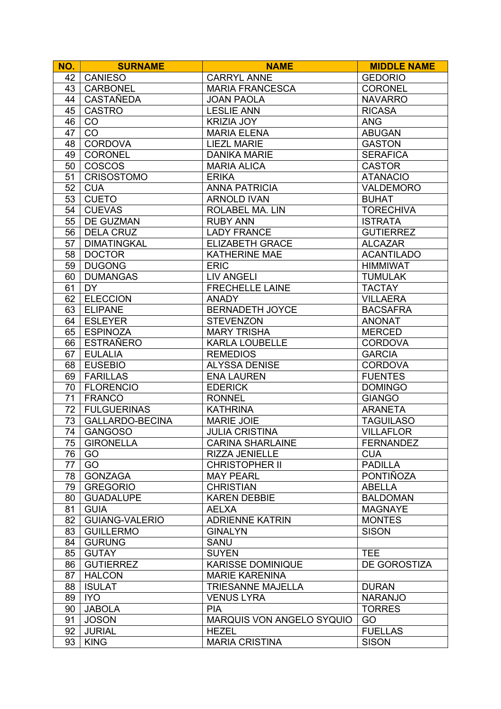| NO. | <b>SURNAME</b>         | <b>NAME</b>                      | <b>MIDDLE NAME</b> |
|-----|------------------------|----------------------------------|--------------------|
| 42  | <b>CANIESO</b>         | <b>CARRYL ANNE</b>               | <b>GEDORIO</b>     |
| 43  | <b>CARBONEL</b>        | <b>MARIA FRANCESCA</b>           | <b>CORONEL</b>     |
| 44  | CASTAÑEDA              | <b>JOAN PAOLA</b>                | <b>NAVARRO</b>     |
| 45  | <b>CASTRO</b>          | <b>LESLIE ANN</b>                | <b>RICASA</b>      |
| 46  | CO                     | <b>KRIZIA JOY</b>                | <b>ANG</b>         |
| 47  | CO                     | <b>MARIA ELENA</b>               | <b>ABUGAN</b>      |
| 48  | <b>CORDOVA</b>         | <b>LIEZL MARIE</b>               | <b>GASTON</b>      |
| 49  | <b>CORONEL</b>         | <b>DANIKA MARIE</b>              | <b>SERAFICA</b>    |
| 50  | <b>COSCOS</b>          | <b>MARIA ALICA</b>               | <b>CASTOR</b>      |
| 51  | <b>CRISOSTOMO</b>      | <b>ERIKA</b>                     | <b>ATANACIO</b>    |
| 52  | <b>CUA</b>             | <b>ANNA PATRICIA</b>             | <b>VALDEMORO</b>   |
| 53  | <b>CUETO</b>           | <b>ARNOLD IVAN</b>               | <b>BUHAT</b>       |
| 54  | <b>CUEVAS</b>          | ROLABEL MA. LIN                  | <b>TORECHIVA</b>   |
|     |                        | <b>RUBY ANN</b>                  |                    |
| 55  | <b>DE GUZMAN</b>       |                                  | <b>ISTRATA</b>     |
| 56  | <b>DELA CRUZ</b>       | <b>LADY FRANCE</b>               | <b>GUTIERREZ</b>   |
| 57  | <b>DIMATINGKAL</b>     | <b>ELIZABETH GRACE</b>           | <b>ALCAZAR</b>     |
| 58  | <b>DOCTOR</b>          | <b>KATHERINE MAE</b>             | <b>ACANTILADO</b>  |
| 59  | <b>DUGONG</b>          | <b>ERIC</b>                      | <b>HIMMIWAT</b>    |
| 60  | <b>DUMANGAS</b>        | <b>LIV ANGELI</b>                | <b>TUMULAK</b>     |
| 61  | <b>DY</b>              | <b>FRECHELLE LAINE</b>           | <b>TACTAY</b>      |
| 62  | <b>ELECCION</b>        | <b>ANADY</b>                     | <b>VILLAERA</b>    |
| 63  | <b>ELIPANE</b>         | <b>BERNADETH JOYCE</b>           | <b>BACSAFRA</b>    |
| 64  | <b>ESLEYER</b>         | <b>STEVENZON</b>                 | <b>ANONAT</b>      |
| 65  | <b>ESPINOZA</b>        | <b>MARY TRISHA</b>               | <b>MERCED</b>      |
| 66  | <b>ESTRAÑERO</b>       | <b>KARLA LOUBELLE</b>            | <b>CORDOVA</b>     |
| 67  | <b>EULALIA</b>         | <b>REMEDIOS</b>                  | <b>GARCIA</b>      |
| 68  | <b>EUSEBIO</b>         | <b>ALYSSA DENISE</b>             | <b>CORDOVA</b>     |
| 69  | <b>FARILLAS</b>        | <b>ENA LAUREN</b>                | <b>FUENTES</b>     |
| 70  | <b>FLORENCIO</b>       | <b>EDERICK</b>                   | <b>DOMINGO</b>     |
| 71  | <b>FRANCO</b>          | <b>RONNEL</b>                    | <b>GIANGO</b>      |
| 72  | <b>FULGUERINAS</b>     | <b>KATHRINA</b>                  | <b>ARANETA</b>     |
| 73  | <b>GALLARDO-BECINA</b> | <b>MARIE JOIE</b>                | <b>TAGUILASO</b>   |
| 74  | <b>GANGOSO</b>         | <b>JULIA CRISTINA</b>            | <b>VILLAFLOR</b>   |
|     | 75   GIRONELLA         | <b>CARINA SHARLAINE</b>          | <b>FERNANDEZ</b>   |
| 76  | GO                     | RIZZA JENIELLE                   | <b>CUA</b>         |
| 77  | GO                     | <b>CHRISTOPHER II</b>            | <b>PADILLA</b>     |
| 78  | <b>GONZAGA</b>         | <b>MAY PEARL</b>                 | PONTIÑOZA          |
| 79  | <b>GREGORIO</b>        | <b>CHRISTIAN</b>                 | <b>ABELLA</b>      |
| 80  | <b>GUADALUPE</b>       | <b>KAREN DEBBIE</b>              | <b>BALDOMAN</b>    |
| 81  | <b>GUIA</b>            | <b>AELXA</b>                     | <b>MAGNAYE</b>     |
| 82  | <b>GUIANG-VALERIO</b>  | <b>ADRIENNE KATRIN</b>           | <b>MONTES</b>      |
| 83  | <b>GUILLERMO</b>       | <b>GINALYN</b>                   | <b>SISON</b>       |
| 84  | <b>GURUNG</b>          | <b>SANU</b>                      |                    |
| 85  | <b>GUTAY</b>           | <b>SUYEN</b>                     | <b>TEE</b>         |
| 86  | <b>GUTIERREZ</b>       | <b>KARISSE DOMINIQUE</b>         | DE GOROSTIZA       |
| 87  | <b>HALCON</b>          | <b>MARIE KARENINA</b>            |                    |
|     | <b>ISULAT</b>          |                                  | <b>DURAN</b>       |
| 88  |                        | <b>TRIESANNE MAJELLA</b>         |                    |
| 89  | <b>IYO</b>             | <b>VENUS LYRA</b>                | <b>NARANJO</b>     |
| 90  | <b>JABOLA</b>          | <b>PIA</b>                       | <b>TORRES</b>      |
| 91  | <b>JOSON</b>           | <b>MARQUIS VON ANGELO SYQUIO</b> | GO                 |
| 92  | <b>JURIAL</b>          | <b>HEZEL</b>                     | <b>FUELLAS</b>     |
| 93  | <b>KING</b>            | <b>MARIA CRISTINA</b>            | <b>SISON</b>       |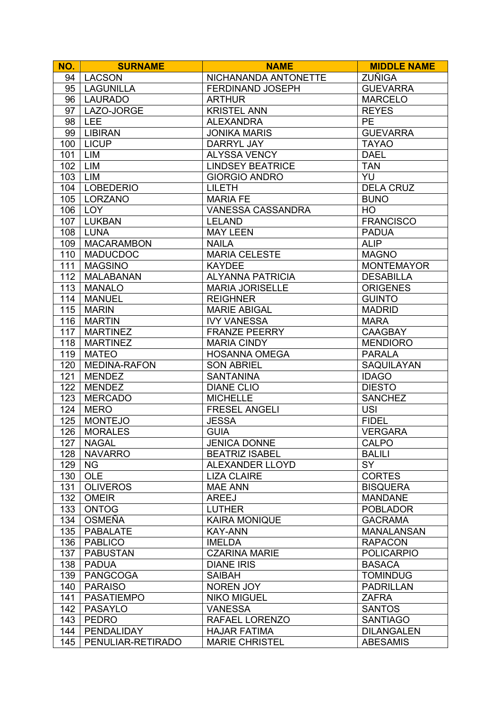| NO.        | <b>SURNAME</b>                  | <b>NAME</b>                                | <b>MIDDLE NAME</b>                  |
|------------|---------------------------------|--------------------------------------------|-------------------------------------|
| 94         | LACSON                          | NICHANANDA ANTONETTE                       | <b>ZUÑIGA</b>                       |
| 95         | <b>LAGUNILLA</b>                | <b>FERDINAND JOSEPH</b>                    | <b>GUEVARRA</b>                     |
| 96         | <b>LAURADO</b>                  | <b>ARTHUR</b>                              | <b>MARCELO</b>                      |
| 97         | LAZO-JORGE                      | <b>KRISTEL ANN</b>                         | <b>REYES</b>                        |
| 98         | <b>LEE</b>                      | <b>ALEXANDRA</b>                           | <b>PE</b>                           |
| 99         | <b>LIBIRAN</b>                  | <b>JONIKA MARIS</b>                        | <b>GUEVARRA</b>                     |
| 100        | <b>LICUP</b>                    | <b>DARRYL JAY</b>                          | <b>TAYAO</b>                        |
| 101        | LIM                             | ALYSSA VENCY                               | <b>DAEL</b>                         |
| 102        | LIM                             | <b>LINDSEY BEATRICE</b>                    | <b>TAN</b>                          |
| 103        | <b>LIM</b>                      | <b>GIORGIO ANDRO</b>                       | YU                                  |
| 104        | <b>LOBEDERIO</b>                | <b>LILETH</b>                              | <b>DELA CRUZ</b>                    |
| 105        | LORZANO                         | <b>MARIA FE</b>                            | <b>BUNO</b>                         |
| 106        | LOY                             | VANESSA CASSANDRA                          | HO                                  |
| 107        | <b>LUKBAN</b>                   | <b>LELAND</b>                              | <b>FRANCISCO</b>                    |
| 108        | <b>LUNA</b>                     | <b>MAY LEEN</b>                            | <b>PADUA</b>                        |
| 109        | <b>MACARAMBON</b>               | <b>NAILA</b>                               | <b>ALIP</b>                         |
| 110        | <b>MADUCDOC</b>                 | <b>MARIA CELESTE</b>                       | <b>MAGNO</b>                        |
| 111        | <b>MAGSINO</b>                  | <b>KAYDEE</b>                              | <b>MONTEMAYOR</b>                   |
| 112        | <b>MALABANAN</b>                | <b>ALYANNA PATRICIA</b>                    | <b>DESABILLA</b>                    |
| 113        | <b>MANALO</b>                   | <b>MARIA JORISELLE</b>                     | <b>ORIGENES</b>                     |
| 114        | <b>MANUEL</b>                   | <b>REIGHNER</b>                            | <b>GUINTO</b>                       |
| 115        | <b>MARIN</b>                    | <b>MARIE ABIGAL</b>                        | <b>MADRID</b>                       |
| 116        |                                 |                                            |                                     |
|            | <b>MARTIN</b>                   | <b>IVY VANESSA</b>                         | <b>MARA</b>                         |
| 117        | <b>MARTINEZ</b>                 | <b>FRANZE PEERRY</b>                       | <b>CAAGBAY</b>                      |
| 118<br>119 | <b>MARTINEZ</b><br><b>MATEO</b> | <b>MARIA CINDY</b><br><b>HOSANNA OMEGA</b> | <b>MENDIORO</b>                     |
|            | <b>MEDINA-RAFON</b>             |                                            | <b>PARALA</b>                       |
| 120<br>121 | <b>MENDEZ</b>                   | <b>SON ABRIEL</b><br><b>SANTANINA</b>      | SAQUILAYAN<br><b>IDAGO</b>          |
| 122        | <b>MENDEZ</b>                   | <b>DIANE CLIO</b>                          | <b>DIESTO</b>                       |
| 123        | <b>MERCADO</b>                  | <b>MICHELLE</b>                            | <b>SANCHEZ</b>                      |
| 124        | <b>MERO</b>                     | <b>FRESEL ANGELI</b>                       | <b>USI</b>                          |
| 125        | <b>MONTEJO</b>                  | <b>JESSA</b>                               | <b>FIDEL</b>                        |
| 126        | <b>MORALES</b>                  | <b>GUIA</b>                                | <b>VERGARA</b>                      |
|            | <b>NAGAL</b>                    | <b>JENICA DONNE</b>                        | <b>CALPO</b>                        |
| 127<br>128 | <b>NAVARRO</b>                  | <b>BEATRIZ ISABEL</b>                      | <b>BALILI</b>                       |
| 129        | <b>NG</b>                       | <b>ALEXANDER LLOYD</b>                     | <b>SY</b>                           |
|            | <b>OLE</b>                      | <b>LIZA CLAIRE</b>                         |                                     |
| 130        |                                 | <b>MAE ANN</b>                             | <b>CORTES</b>                       |
| 131<br>132 | <b>OLIVEROS</b><br><b>OMEIR</b> | <b>AREEJ</b>                               | <b>BISQUERA</b><br><b>MANDANE</b>   |
| 133        | <b>ONTOG</b>                    | <b>LUTHER</b>                              | <b>POBLADOR</b>                     |
|            | <b>OSMEÑA</b>                   | <b>KAIRA MONIQUE</b>                       |                                     |
| 134        | <b>PABALATE</b>                 | <b>KAY-ANN</b>                             | <b>GACRAMA</b>                      |
| 135        |                                 |                                            | <b>MANALANSAN</b><br><b>RAPACON</b> |
| 136        | <b>PABLICO</b>                  | <b>IMELDA</b>                              |                                     |
| 137        | <b>PABUSTAN</b>                 | <b>CZARINA MARIE</b>                       | <b>POLICARPIO</b>                   |
| 138        | <b>PADUA</b>                    | <b>DIANE IRIS</b>                          | <b>BASACA</b>                       |
| 139        | <b>PANGCOGA</b>                 | <b>SAIBAH</b>                              | <b>TOMINDUG</b>                     |
| 140        | <b>PARAISO</b>                  | <b>NOREN JOY</b>                           | <b>PADRILLAN</b>                    |
| 141        | <b>PASATIEMPO</b>               | <b>NIKO MIGUEL</b>                         | <b>ZAFRA</b>                        |
| 142        | <b>PASAYLO</b>                  | <b>VANESSA</b>                             | <b>SANTOS</b>                       |
| 143        | <b>PEDRO</b>                    | RAFAEL LORENZO                             | <b>SANTIAGO</b>                     |
| 144        | <b>PENDALIDAY</b>               | <b>HAJAR FATIMA</b>                        | <b>DILANGALEN</b>                   |
| 145        | PENULIAR-RETIRADO               | <b>MARIE CHRISTEL</b>                      | <b>ABESAMIS</b>                     |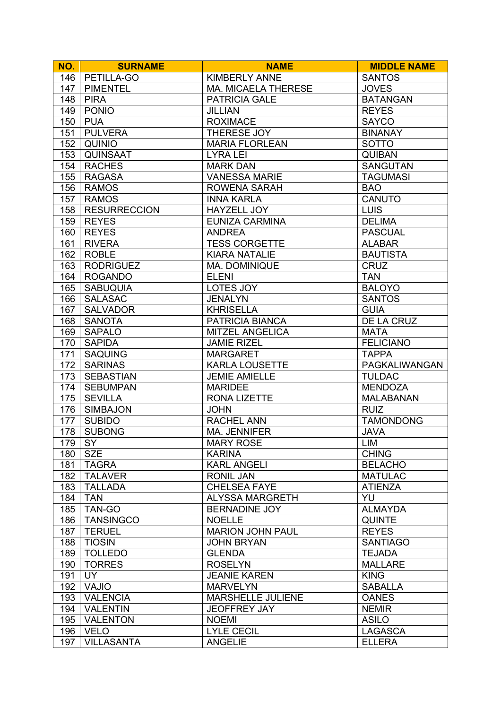| NO. | <b>SURNAME</b>      | <b>NAME</b>                          | <b>MIDDLE NAME</b>        |
|-----|---------------------|--------------------------------------|---------------------------|
| 146 | PETILLA-GO          | <b>KIMBERLY ANNE</b>                 | <b>SANTOS</b>             |
| 147 | <b>PIMENTEL</b>     | <b>MA. MICAELA THERESE</b>           | <b>JOVES</b>              |
| 148 | <b>PIRA</b>         | <b>PATRICIA GALE</b>                 | <b>BATANGAN</b>           |
| 149 | <b>PONIO</b>        | <b>JILLIAN</b>                       | <b>REYES</b>              |
| 150 | <b>PUA</b>          | <b>ROXIMACE</b>                      | <b>SAYCO</b>              |
| 151 | <b>PULVERA</b>      | THERESE JOY                          | <b>BINANAY</b>            |
| 152 | <b>QUINIO</b>       | <b>MARIA FLORLEAN</b>                | <b>SOTTO</b>              |
| 153 | <b>QUINSAAT</b>     | <b>LYRA LEI</b>                      | <b>QUIBAN</b>             |
| 154 | <b>RACHES</b>       | <b>MARK DAN</b>                      | <b>SANGUTAN</b>           |
| 155 | <b>RAGASA</b>       | <b>VANESSA MARIE</b>                 | <b>TAGUMASI</b>           |
| 156 | <b>RAMOS</b>        | <b>ROWENA SARAH</b>                  | <b>BAO</b>                |
| 157 | <b>RAMOS</b>        | <b>INNA KARLA</b>                    | <b>CANUTO</b>             |
| 158 | <b>RESURRECCION</b> | HAYZELL JOY                          | <b>LUIS</b>               |
| 159 | <b>REYES</b>        | <b>EUNIZA CARMINA</b>                | <b>DELIMA</b>             |
| 160 | <b>REYES</b>        | <b>ANDREA</b>                        | <b>PASCUAL</b>            |
| 161 | <b>RIVERA</b>       | <b>TESS CORGETTE</b>                 | <b>ALABAR</b>             |
| 162 | <b>ROBLE</b>        | <b>KIARA NATALIE</b>                 | <b>BAUTISTA</b>           |
|     | <b>RODRIGUEZ</b>    |                                      |                           |
| 163 |                     | <b>MA. DOMINIQUE</b><br><b>ELENI</b> | <b>CRUZ</b><br><b>TAN</b> |
| 164 | <b>ROGANDO</b>      |                                      |                           |
| 165 | <b>SABUQUIA</b>     | LOTES JOY                            | <b>BALOYO</b>             |
| 166 | <b>SALASAC</b>      | <b>JENALYN</b>                       | <b>SANTOS</b>             |
| 167 | <b>SALVADOR</b>     | <b>KHRISELLA</b>                     | <b>GUIA</b>               |
| 168 | <b>SANOTA</b>       | PATRICIA BIANCA                      | DE LA CRUZ                |
| 169 | <b>SAPALO</b>       | <b>MITZEL ANGELICA</b>               | <b>MATA</b>               |
| 170 | <b>SAPIDA</b>       | <b>JAMIE RIZEL</b>                   | <b>FELICIANO</b>          |
| 171 | <b>SAQUING</b>      | <b>MARGARET</b>                      | <b>TAPPA</b>              |
| 172 | <b>SARINAS</b>      | <b>KARLA LOUSETTE</b>                | PAGKALIWANGAN             |
| 173 | <b>SEBASTIAN</b>    | <b>JEMIE AMIELLE</b>                 | <b>TULDAC</b>             |
| 174 | <b>SEBUMPAN</b>     | <b>MARIDEE</b>                       | <b>MENDOZA</b>            |
| 175 | <b>SEVILLA</b>      | <b>RONA LIZETTE</b>                  | <b>MALABANAN</b>          |
| 176 | <b>SIMBAJON</b>     | <b>JOHN</b>                          | <b>RUIZ</b>               |
| 177 | <b>SUBIDO</b>       | RACHEL ANN                           | <b>TAMONDONG</b>          |
| 178 | <b>SUBONG</b>       | <b>MA. JENNIFER</b>                  | <b>JAVA</b>               |
| 179 | SY                  | <b>MARY ROSE</b>                     | LIM                       |
| 180 | <b>SZE</b>          | <b>KARINA</b>                        | <b>CHING</b>              |
| 181 | <b>TAGRA</b>        | <b>KARL ANGELI</b>                   | <b>BELACHO</b>            |
| 182 | <b>TALAVER</b>      | <b>RONIL JAN</b>                     | <b>MATULAC</b>            |
| 183 | <b>TALLADA</b>      | <b>CHELSEA FAYE</b>                  | <b>ATIENZA</b>            |
| 184 | <b>TAN</b>          | <b>ALYSSA MARGRETH</b>               | YU                        |
| 185 | TAN-GO              | <b>BERNADINE JOY</b>                 | <b>ALMAYDA</b>            |
| 186 | <b>TANSINGCO</b>    | <b>NOELLE</b>                        | <b>QUINTE</b>             |
| 187 | <b>TERUEL</b>       | <b>MARION JOHN PAUL</b>              | <b>REYES</b>              |
| 188 | <b>TIOSIN</b>       | <b>JOHN BRYAN</b>                    | <b>SANTIAGO</b>           |
| 189 | <b>TOLLEDO</b>      | <b>GLENDA</b>                        | <b>TEJADA</b>             |
| 190 | <b>TORRES</b>       | <b>ROSELYN</b>                       | <b>MALLARE</b>            |
| 191 | <b>UY</b>           | <b>JEANIE KAREN</b>                  | <b>KING</b>               |
| 192 | <b>VAJIO</b>        | <b>MARVELYN</b>                      | <b>SABALLA</b>            |
| 193 | <b>VALENCIA</b>     | <b>MARSHELLE JULIENE</b>             | <b>OANES</b>              |
| 194 | <b>VALENTIN</b>     | <b>JEOFFREY JAY</b>                  | <b>NEMIR</b>              |
| 195 | <b>VALENTON</b>     | <b>NOEMI</b>                         | <b>ASILO</b>              |
| 196 | <b>VELO</b>         | <b>LYLE CECIL</b>                    | <b>LAGASCA</b>            |
| 197 | <b>VILLASANTA</b>   | <b>ANGELIE</b>                       | <b>ELLERA</b>             |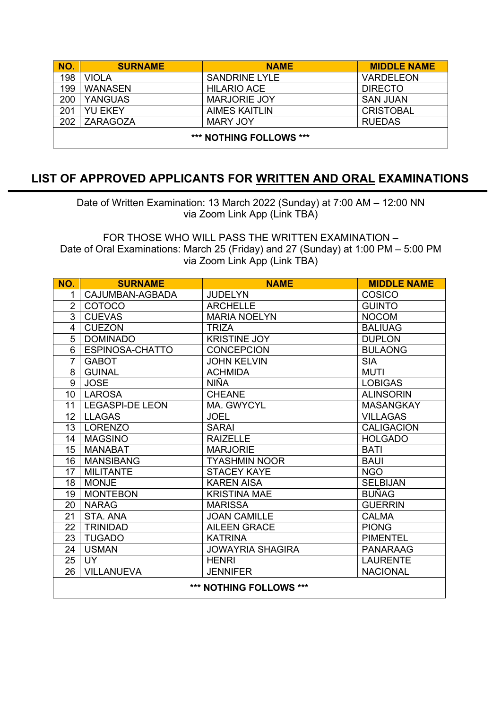| NO.                     | <b>SURNAME</b> | <b>NAME</b>          | <b>MIDDLE NAME</b> |
|-------------------------|----------------|----------------------|--------------------|
| 198                     | <b>VIOLA</b>   | <b>SANDRINE LYLE</b> | <b>VARDELEON</b>   |
| 199                     | <b>WANASEN</b> | <b>HILARIO ACE</b>   | <b>DIRECTO</b>     |
| 200                     | <b>YANGUAS</b> | <b>MARJORIE JOY</b>  | <b>SAN JUAN</b>    |
| 201                     | <b>YU EKEY</b> | <b>AIMES KAITLIN</b> | <b>CRISTOBAL</b>   |
| 202                     | ZARAGOZA       | <b>MARY JOY</b>      | <b>RUEDAS</b>      |
| *** NOTHING FOLLOWS *** |                |                      |                    |

## **LIST OF APPROVED APPLICANTS FOR WRITTEN AND ORAL EXAMINATIONS**

Date of Written Examination: 13 March 2022 (Sunday) at 7:00 AM – 12:00 NN via Zoom Link App (Link TBA)

FOR THOSE WHO WILL PASS THE WRITTEN EXAMINATION – Date of Oral Examinations: March 25 (Friday) and 27 (Sunday) at 1:00 PM – 5:00 PM via Zoom Link App (Link TBA)

| NO.                     | <b>SURNAME</b>         | <b>NAME</b>             | <b>MIDDLE NAME</b> |
|-------------------------|------------------------|-------------------------|--------------------|
| 1                       | CAJUMBAN-AGBADA        | <b>JUDELYN</b>          | <b>COSICO</b>      |
| $\overline{2}$          | COTOCO                 | <b>ARCHELLE</b>         | <b>GUINTO</b>      |
| 3                       | <b>CUEVAS</b>          | <b>MARIA NOELYN</b>     | <b>NOCOM</b>       |
| 4                       | <b>CUEZON</b>          | <b>TRIZA</b>            | <b>BALIUAG</b>     |
| 5                       | <b>DOMINADO</b>        | <b>KRISTINE JOY</b>     | <b>DUPLON</b>      |
| 6                       | ESPINOSA-CHATTO        | <b>CONCEPCION</b>       | <b>BULAONG</b>     |
| $\overline{7}$          | <b>GABOT</b>           | <b>JOHN KELVIN</b>      | <b>SIA</b>         |
| 8                       | <b>GUINAL</b>          | <b>ACHMIDA</b>          | <b>MUTI</b>        |
| 9                       | <b>JOSE</b>            | <b>NIÑA</b>             | <b>LOBIGAS</b>     |
| 10 <sup>1</sup>         | <b>LAROSA</b>          | <b>CHEANE</b>           | <b>ALINSORIN</b>   |
| 11                      | <b>LEGASPI-DE LEON</b> | MA. GWYCYL              | <b>MASANGKAY</b>   |
| 12                      | <b>LLAGAS</b>          | <b>JOEL</b>             | <b>VILLAGAS</b>    |
| 13                      | <b>LORENZO</b>         | <b>SARAI</b>            | <b>CALIGACION</b>  |
| 14                      | <b>MAGSINO</b>         | <b>RAIZELLE</b>         | <b>HOLGADO</b>     |
| 15                      | <b>MANABAT</b>         | <b>MARJORIE</b>         | <b>BATI</b>        |
| 16                      | <b>MANSIBANG</b>       | <b>TYASHMIN NOOR</b>    | <b>BAUI</b>        |
| 17                      | <b>MILITANTE</b>       | <b>STACEY KAYE</b>      | <b>NGO</b>         |
| 18                      | <b>MONJE</b>           | <b>KAREN AISA</b>       | <b>SELBIJAN</b>    |
| 19                      | <b>MONTEBON</b>        | <b>KRISTINA MAE</b>     | <b>BUÑAG</b>       |
| 20                      | <b>NARAG</b>           | <b>MARISSA</b>          | <b>GUERRIN</b>     |
| 21                      | STA, ANA               | <b>JOAN CAMILLE</b>     | <b>CALMA</b>       |
| 22                      | <b>TRINIDAD</b>        | <b>AILEEN GRACE</b>     | <b>PIONG</b>       |
| 23                      | <b>TUGADO</b>          | <b>KATRINA</b>          | <b>PIMENTEL</b>    |
| 24                      | <b>USMAN</b>           | <b>JOWAYRIA SHAGIRA</b> | <b>PANARAAG</b>    |
| 25                      | <b>UY</b>              | <b>HENRI</b>            | <b>LAURENTE</b>    |
| 26                      | <b>VILLANUEVA</b>      | <b>JENNIFER</b>         | <b>NACIONAL</b>    |
| *** NOTHING FOLLOWS *** |                        |                         |                    |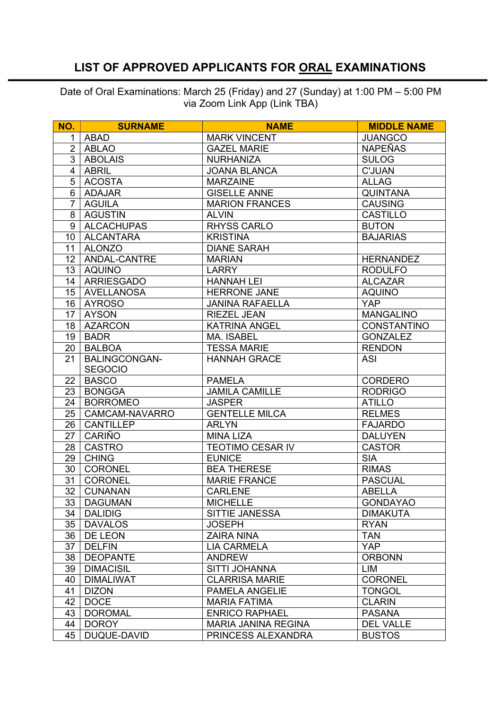## **LIST OF APPROVED APPLICANTS FOR ORAL EXAMINATIONS**

Date of Oral Examinations: March 25 (Friday) and 27 (Sunday) at 1:00 PM – 5:00 PM via Zoom Link App (Link TBA)

| NO.            | <b>SURNAME</b>       | <b>NAME</b>                | <b>MIDDLE NAME</b> |
|----------------|----------------------|----------------------------|--------------------|
| 1              | <b>ABAD</b>          | <b>MARK VINCENT</b>        | <b>JUANGCO</b>     |
| $\overline{2}$ | <b>ABLAO</b>         | <b>GAZEL MARIE</b>         | <b>NAPEÑAS</b>     |
| 3              | <b>ABOLAIS</b>       | <b>NURHANIZA</b>           | <b>SULOG</b>       |
| 4              | <b>ABRIL</b>         | <b>JOANA BLANCA</b>        | <b>C'JUAN</b>      |
| 5              | <b>ACOSTA</b>        | <b>MARZAINE</b>            | <b>ALLAG</b>       |
| 6              | <b>ADAJAR</b>        | <b>GISELLE ANNE</b>        | <b>QUINTANA</b>    |
| 7              | <b>AGUILA</b>        | <b>MARION FRANCES</b>      | <b>CAUSING</b>     |
| 8              | <b>AGUSTIN</b>       | <b>ALVIN</b>               | <b>CASTILLO</b>    |
| 9              | <b>ALCACHUPAS</b>    | <b>RHYSS CARLO</b>         | <b>BUTON</b>       |
| 10             | <b>ALCANTARA</b>     | <b>KRISTINA</b>            | <b>BAJARIAS</b>    |
| 11             | <b>ALONZO</b>        | <b>DIANE SARAH</b>         |                    |
| 12             | ANDAL-CANTRE         | <b>MARIAN</b>              | <b>HERNANDEZ</b>   |
| 13             | <b>AQUINO</b>        | <b>LARRY</b>               | <b>RODULFO</b>     |
| 14             | <b>ARRIESGADO</b>    | <b>HANNAH LEI</b>          | <b>ALCAZAR</b>     |
| 15             | <b>AVELLANOSA</b>    | <b>HERRONE JANE</b>        | <b>AQUINO</b>      |
| 16             | <b>AYROSO</b>        | <b>JANINA RAFAELLA</b>     | <b>YAP</b>         |
| 17             | <b>AYSON</b>         | <b>RIEZEL JEAN</b>         | <b>MANGALINO</b>   |
| 18             | <b>AZARCON</b>       | <b>KATRINA ANGEL</b>       | <b>CONSTANTINO</b> |
| 19             | <b>BADR</b>          | <b>MA. ISABEL</b>          | <b>GONZALEZ</b>    |
| 20             | <b>BALBOA</b>        | <b>TESSA MARIE</b>         | <b>RENDON</b>      |
| 21             | <b>BALINGCONGAN-</b> | <b>HANNAH GRACE</b>        | <b>ASI</b>         |
|                | <b>SEGOCIO</b>       |                            |                    |
| 22             | <b>BASCO</b>         | <b>PAMELA</b>              | <b>CORDERO</b>     |
| 23             | <b>BONGGA</b>        | <b>JAMILA CAMILLE</b>      | <b>RODRIGO</b>     |
| 24             | <b>BORROMEO</b>      | <b>JASPER</b>              | <b>ATILLO</b>      |
| 25             | CAMCAM-NAVARRO       | <b>GENTELLE MILCA</b>      | <b>RELMES</b>      |
| 26             | <b>CANTILLEP</b>     | <b>ARLYN</b>               | <b>FAJARDO</b>     |
| 27             | CARIÑO               | <b>MINA LIZA</b>           | <b>DALUYEN</b>     |
| 28             | <b>CASTRO</b>        | <b>TEOTIMO CESAR IV</b>    | <b>CASTOR</b>      |
| 29             | <b>CHING</b>         | <b>EUNICE</b>              | <b>SIA</b>         |
| 30             | <b>CORONEL</b>       | <b>BEA THERESE</b>         | <b>RIMAS</b>       |
| 31             | <b>CORONEL</b>       | <b>MARIE FRANCE</b>        | <b>PASCUAL</b>     |
| 32             | <b>CUNANAN</b>       | <b>CARLENE</b>             | <b>ABELLA</b>      |
| 33             | <b>DAGUMAN</b>       | <b>MICHELLE</b>            | <b>GONDAYAO</b>    |
| 34             | <b>DALIDIG</b>       | SITTIE JANESSA             | <b>DIMAKUTA</b>    |
| 35             | <b>DAVALOS</b>       | <b>JOSEPH</b>              | <b>RYAN</b>        |
| 36             | DE LEON              | <b>ZAIRA NINA</b>          | <b>TAN</b>         |
| 37             | <b>DELFIN</b>        | <b>LIA CARMELA</b>         | <b>YAP</b>         |
| 38             | <b>DEOPANTE</b>      | <b>ANDREW</b>              | <b>ORBONN</b>      |
| 39             | <b>DIMACISIL</b>     | <b>SITTI JOHANNA</b>       | LIM                |
| 40             | <b>DIMALIWAT</b>     | <b>CLARRISA MARIE</b>      | <b>CORONEL</b>     |
| 41             | <b>DIZON</b>         | PAMELA ANGELIE             | <b>TONGOL</b>      |
| 42             | <b>DOCE</b>          | <b>MARIA FATIMA</b>        | <b>CLARIN</b>      |
| 43             | <b>DOROMAL</b>       | <b>ENRICO RAPHAEL</b>      | <b>PASANA</b>      |
| 44             | <b>DOROY</b>         | <b>MARIA JANINA REGINA</b> | <b>DEL VALLE</b>   |
| 45             | DUQUE-DAVID          | PRINCESS ALEXANDRA         | <b>BUSTOS</b>      |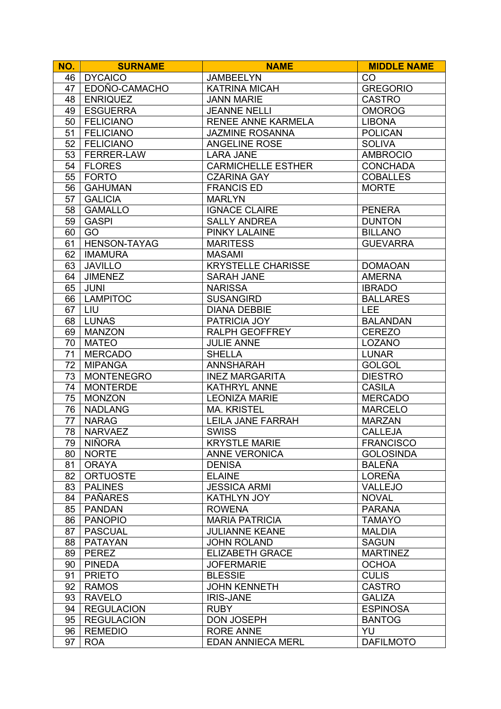| NO. | <b>SURNAME</b>      | <b>NAME</b>               | <b>MIDDLE NAME</b> |
|-----|---------------------|---------------------------|--------------------|
| 46  | <b>DYCAICO</b>      | <b>JAMBEELYN</b>          | CO                 |
| 47  | EDOÑO-CAMACHO       | <b>KATRINA MICAH</b>      | <b>GREGORIO</b>    |
| 48  | <b>ENRIQUEZ</b>     | <b>JANN MARIE</b>         | <b>CASTRO</b>      |
| 49  | <b>ESGUERRA</b>     | <b>JEANNE NELLI</b>       | <b>OMOROG</b>      |
| 50  | <b>FELICIANO</b>    | RENEE ANNE KARMELA        | <b>LIBONA</b>      |
| 51  | <b>FELICIANO</b>    | <b>JAZMINE ROSANNA</b>    | <b>POLICAN</b>     |
| 52  | <b>FELICIANO</b>    | <b>ANGELINE ROSE</b>      | <b>SOLIVA</b>      |
| 53  | FERRER-LAW          | <b>LARA JANE</b>          | <b>AMBROCIO</b>    |
| 54  | <b>FLORES</b>       | <b>CARMICHELLE ESTHER</b> | <b>CONCHADA</b>    |
| 55  | <b>FORTO</b>        | <b>CZARINA GAY</b>        | <b>COBALLES</b>    |
| 56  | <b>GAHUMAN</b>      | <b>FRANCIS ED</b>         | <b>MORTE</b>       |
| 57  | <b>GALICIA</b>      | <b>MARLYN</b>             |                    |
| 58  | <b>GAMALLO</b>      | <b>IGNACE CLAIRE</b>      | <b>PENERA</b>      |
| 59  | <b>GASPI</b>        | <b>SALLY ANDREA</b>       | <b>DUNTON</b>      |
| 60  | GO                  | <b>PINKY LALAINE</b>      | <b>BILLANO</b>     |
| 61  | <b>HENSON-TAYAG</b> | <b>MARITESS</b>           | <b>GUEVARRA</b>    |
| 62  | <b>IMAMURA</b>      | <b>MASAMI</b>             |                    |
| 63  | <b>JAVILLO</b>      | <b>KRYSTELLE CHARISSE</b> | <b>DOMAOAN</b>     |
| 64  | <b>JIMENEZ</b>      | <b>SARAH JANE</b>         | <b>AMERNA</b>      |
| 65  | <b>JUNI</b>         | <b>NARISSA</b>            | <b>IBRADO</b>      |
| 66  | <b>LAMPITOC</b>     | <b>SUSANGIRD</b>          | <b>BALLARES</b>    |
| 67  | LIU                 | <b>DIANA DEBBIE</b>       | <b>LEE</b>         |
| 68  | <b>LUNAS</b>        | PATRICIA JOY              | <b>BALANDAN</b>    |
| 69  | <b>MANZON</b>       | <b>RALPH GEOFFREY</b>     | <b>CEREZO</b>      |
| 70  | <b>MATEO</b>        | <b>JULIE ANNE</b>         | <b>LOZANO</b>      |
| 71  | <b>MERCADO</b>      | <b>SHELLA</b>             | <b>LUNAR</b>       |
| 72  | <b>MIPANGA</b>      | <b>ANNSHARAH</b>          | <b>GOLGOL</b>      |
| 73  | <b>MONTENEGRO</b>   | <b>INEZ MARGARITA</b>     | <b>DIESTRO</b>     |
| 74  | <b>MONTERDE</b>     | <b>KATHRYL ANNE</b>       | <b>CASILA</b>      |
| 75  | <b>MONZON</b>       | <b>LEONIZA MARIE</b>      | <b>MERCADO</b>     |
| 76  | <b>NADLANG</b>      | <b>MA. KRISTEL</b>        | <b>MARCELO</b>     |
| 77  | <b>NARAG</b>        | LEILA JANE FARRAH         | <b>MARZAN</b>      |
| 78  | <b>NARVAEZ</b>      | <b>SWISS</b>              | <b>CALLEJA</b>     |
| 79  | <b>NIÑORA</b>       | <b>KRYSTLE MARIE</b>      | <b>FRANCISCO</b>   |
| 80  | <b>NORTE</b>        | <b>ANNE VERONICA</b>      | <b>GOLOSINDA</b>   |
| 81  | <b>ORAYA</b>        | <b>DENISA</b>             | <b>BALEÑA</b>      |
| 82  | <b>ORTUOSTE</b>     | <b>ELAINE</b>             | <b>LOREÑA</b>      |
| 83  | <b>PALINES</b>      | <b>JESSICA ARMI</b>       | <b>VALLEJO</b>     |
| 84  | <b>PAÑARES</b>      | KATHLYN JOY               | <b>NOVAL</b>       |
| 85  | <b>PANDAN</b>       | <b>ROWENA</b>             | <b>PARANA</b>      |
| 86  | <b>PANOPIO</b>      | <b>MARIA PATRICIA</b>     | <b>TAMAYO</b>      |
| 87  | <b>PASCUAL</b>      | <b>JULIANNE KEANE</b>     | <b>MALDIA</b>      |
| 88  | <b>PATAYAN</b>      | <b>JOHN ROLAND</b>        | <b>SAGUN</b>       |
| 89  | <b>PEREZ</b>        | <b>ELIZABETH GRACE</b>    | <b>MARTINEZ</b>    |
| 90  | <b>PINEDA</b>       | <b>JOFERMARIE</b>         | <b>OCHOA</b>       |
| 91  | <b>PRIETO</b>       | <b>BLESSIE</b>            | <b>CULIS</b>       |
| 92  | <b>RAMOS</b>        | <b>JOHN KENNETH</b>       | <b>CASTRO</b>      |
| 93  | <b>RAVELO</b>       | <b>IRIS-JANE</b>          | <b>GALIZA</b>      |
| 94  | <b>REGULACION</b>   | <b>RUBY</b>               | <b>ESPINOSA</b>    |
| 95  | <b>REGULACION</b>   | <b>DON JOSEPH</b>         | <b>BANTOG</b>      |
| 96  | <b>REMEDIO</b>      | <b>RORE ANNE</b>          | YU                 |
| 97  | <b>ROA</b>          | <b>EDAN ANNIECA MERL</b>  | <b>DAFILMOTO</b>   |